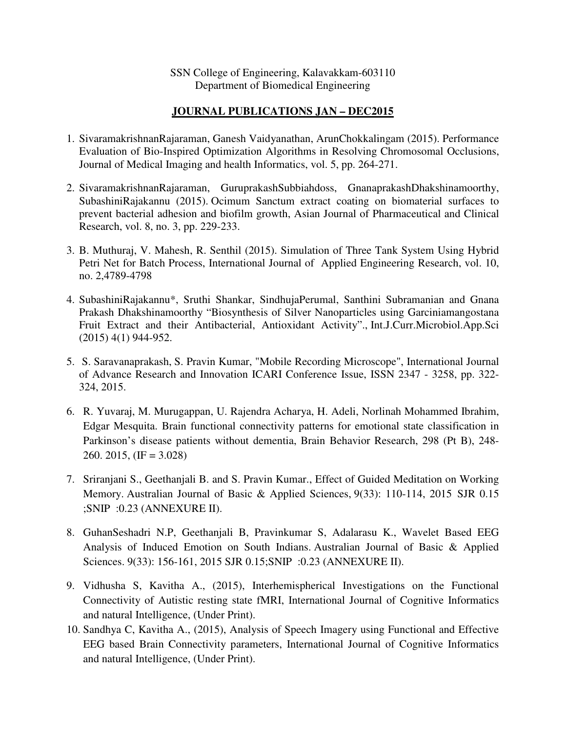SSN College of Engineering, Kalavakkam-603110 Department of Biomedical Engineering

## **JOURNAL PUBLICATIONS JAN – DEC2015**

- 1. SivaramakrishnanRajaraman, Ganesh Vaidyanathan, ArunChokkalingam (2015). Performance Evaluation of Bio-Inspired Optimization Algorithms in Resolving Chromosomal Occlusions, Journal of Medical Imaging and health Informatics, vol. 5, pp. 264-271.
- 2. SivaramakrishnanRajaraman, GuruprakashSubbiahdoss, GnanaprakashDhakshinamoorthy, SubashiniRajakannu (2015). Ocimum Sanctum extract coating on biomaterial surfaces to prevent bacterial adhesion and biofilm growth, Asian Journal of Pharmaceutical and Clinical Research, vol. 8, no. 3, pp. 229-233.
- 3. B. Muthuraj, V. Mahesh, R. Senthil (2015). Simulation of Three Tank System Using Hybrid Petri Net for Batch Process, International Journal of Applied Engineering Research, vol. 10, no. 2,4789-4798
- 4. SubashiniRajakannu\*, Sruthi Shankar, SindhujaPerumal, Santhini Subramanian and Gnana Prakash Dhakshinamoorthy "Biosynthesis of Silver Nanoparticles using Garciniamangostana Fruit Extract and their Antibacterial, Antioxidant Activity"., Int.J.Curr.Microbiol.App.Sci (2015) 4(1) 944-952.
- 5. S. Saravanaprakash, S. Pravin Kumar, "Mobile Recording Microscope", International Journal of Advance Research and Innovation ICARI Conference Issue, ISSN 2347 - 3258, pp. 322- 324, 2015.
- 6. R. Yuvaraj, M. Murugappan, U. Rajendra Acharya, H. Adeli, Norlinah Mohammed Ibrahim, Edgar Mesquita. Brain functional connectivity patterns for emotional state classification in Parkinson's disease patients without dementia, Brain Behavior Research, 298 (Pt B), 248- 260. 2015,  $(\text{IF} = 3.028)$
- 7. Sriranjani S., Geethanjali B. and S. Pravin Kumar., Effect of Guided Meditation on Working Memory. Australian Journal of Basic & Applied Sciences, 9(33): 110-114, 2015 SJR 0.15 ;SNIP :0.23 (ANNEXURE II).
- 8. GuhanSeshadri N.P, Geethanjali B, Pravinkumar S, Adalarasu K., Wavelet Based EEG Analysis of Induced Emotion on South Indians. Australian Journal of Basic & Applied Sciences. 9(33): 156-161, 2015 SJR 0.15;SNIP :0.23 (ANNEXURE II).
- 9. Vidhusha S, Kavitha A., (2015), Interhemispherical Investigations on the Functional Connectivity of Autistic resting state fMRI, International Journal of Cognitive Informatics and natural Intelligence, (Under Print).
- 10. Sandhya C, Kavitha A., (2015), Analysis of Speech Imagery using Functional and Effective EEG based Brain Connectivity parameters, International Journal of Cognitive Informatics and natural Intelligence, (Under Print).